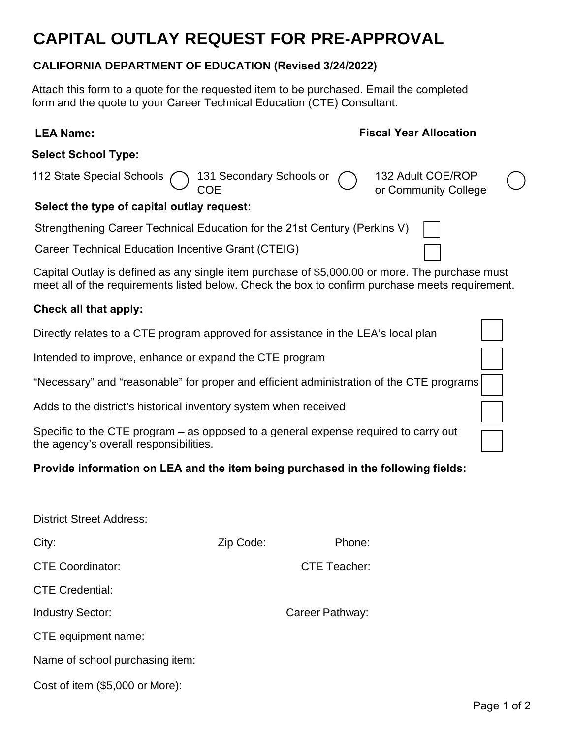# **CAPITAL OUTLAY REQUEST FOR PRE-APPROVAL**

#### **CALIFORNIA DEPARTMENT OF EDUCATION (Revised 3/24/2022)**

Attach this form to a quote for the requested item to be purchased. Email the completed form and the quote to your Career Technical Education (CTE) Consultant.

## **LEA Name: Fiscal Year Allocation**

#### **Select School Type:**

| 112 State Special Schools<br>COE<br>COE<br>COE<br>COE<br>COE              |  | $\bigcirc$ |
|---------------------------------------------------------------------------|--|------------|
| Select the type of capital outlay request:                                |  |            |
| Strengthening Career Technical Education for the 21st Century (Perkins V) |  |            |
| <b>Career Technical Education Incentive Grant (CTEIG)</b>                 |  |            |

Capital Outlay is defined as any single item purchase of \$5,000.00 or more. The purchase must meet all of the requirements listed below. Check the box to confirm purchase meets requirement.

### **Check all that apply:**

Directly relates to a CTE program approved for assistance in the LEA's local plan

Intended to improve, enhance or expand the CTE program

"Necessary" and "reasonable" for proper and efficient administration of the CTE programs

Adds to the district's historical inventory system when received

Specific to the CTE program – as opposed to a general expense required to carry out the agency's overall responsibilities.

## **Provide information on LEA and the item being purchased in the following fields:**

| <b>District Street Address:</b> |           |                     |  |
|---------------------------------|-----------|---------------------|--|
| City:                           | Zip Code: | Phone:              |  |
| <b>CTE Coordinator:</b>         |           | <b>CTE Teacher:</b> |  |
| <b>CTE Credential:</b>          |           |                     |  |
| <b>Industry Sector:</b>         |           | Career Pathway:     |  |
| CTE equipment name:             |           |                     |  |
| Name of school purchasing item: |           |                     |  |
|                                 |           |                     |  |

|  | Cost of item (\$5,000 or More): |  |  |
|--|---------------------------------|--|--|
|  |                                 |  |  |